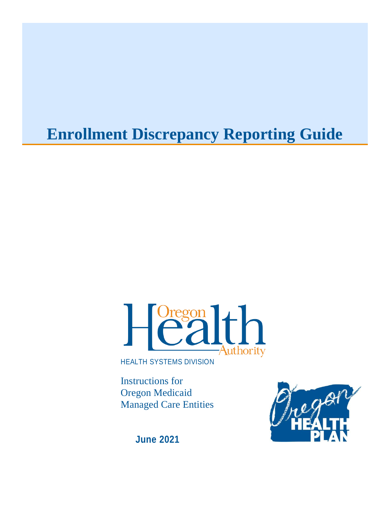# **Enrollment Discrepancy Reporting Guide**



HEALTH SYSTEMS DIVISION

Instructions for Oregon Medicaid Managed Care Entities



**June 2021**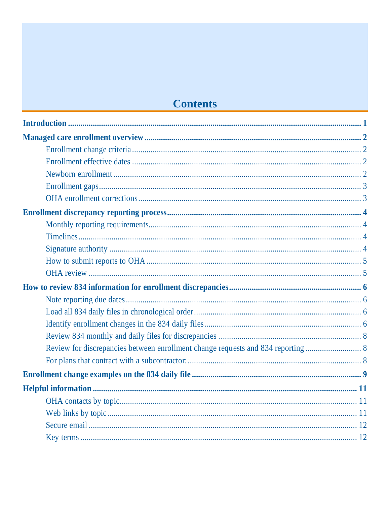# **Contents**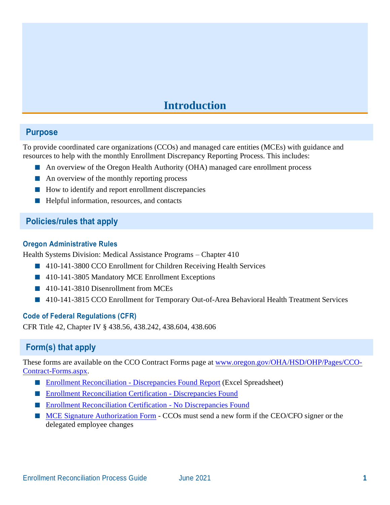# **Introduction**

### <span id="page-2-0"></span>**Purpose**

To provide coordinated care organizations (CCOs) and managed care entities (MCEs) with guidance and resources to help with the monthly Enrollment Discrepancy Reporting Process. This includes:

- An overview of the Oregon Health Authority (OHA) managed care enrollment process
- An overview of the monthly reporting process
- How to identify and report enrollment discrepancies
- Helpful information, resources, and contacts

# **Policies/rules that apply**

#### **Oregon Administrative Rules**

Health Systems Division: Medical Assistance Programs – Chapter 410

- 410-141-3800 CCO Enrollment for Children Receiving Health Services
- 410-141-3805 Mandatory MCE Enrollment Exceptions
- 410-141-3810 Disenrollment from MCEs
- 410-141-3815 CCO Enrollment for Temporary Out-of-Area Behavioral Health Treatment Services

### **Code of Federal Regulations (CFR)**

CFR Title 42, Chapter IV § 438.56, 438.242, 438.604, 438.606

# **Form(s) that apply**

These forms are available on the CCO Contract Forms page at [www.oregon.gov/OHA/HSD/OHP/Pages/CCO-](http://www.oregon.gov/OHA/HSD/OHP/Pages/CCO-Contract-Forms.aspx)[Contract-Forms.aspx.](http://www.oregon.gov/OHA/HSD/OHP/Pages/CCO-Contract-Forms.aspx)

- [Enrollment Reconciliation -](https://www.oregon.gov/oha/HSD/OHP/CCO/Discrepancies-Found-Report.xlsx) Discrepancies Found Report (Excel Spreadsheet)
- [Enrollment Reconciliation Certification -](https://www.oregon.gov/oha/HSD/OHP/CCO/Discrepancies-Found-Form.docx) Discrepancies Found
- [Enrollment Reconciliation Certification](https://www.oregon.gov/oha/HSD/OHP/CCO/No-Discrepancies-Found-Form.docx) No Discrepancies Found
- [MCE Signature Authorization Form](https://www.oregon.gov/oha/HSD/OHP/CCO/MCE-Signature-Authorization-Form.doc) CCOs must send a new form if the CEO/CFO signer or the delegated employee changes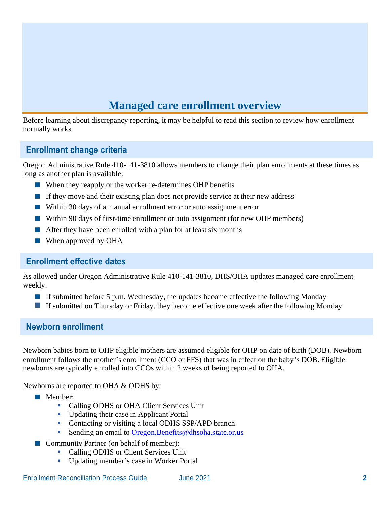# **Managed care enrollment overview**

<span id="page-3-0"></span>Before learning about discrepancy reporting, it may be helpful to read this section to review how enrollment normally works.

# <span id="page-3-1"></span>**Enrollment change criteria**

Oregon Administrative Rule 410-141-3810 allows members to change their plan enrollments at these times as long as another plan is available:

- When they reapply or the worker re-determines OHP benefits
- If they move and their existing plan does not provide service at their new address
- Within 30 days of a manual enrollment error or auto assignment error
- Within 90 days of first-time enrollment or auto assignment (for new OHP members)
- After they have been enrolled with a plan for at least six months
- When approved by OHA

### <span id="page-3-2"></span>**Enrollment effective dates**

<span id="page-3-3"></span>As allowed under Oregon Administrative Rule 410-141-3810, DHS/OHA updates managed care enrollment weekly.

- If submitted before 5 p.m. Wednesday, the updates become effective the following Monday
- **■** If submitted on Thursday or Friday, they become effective one week after the following Monday

# **Newborn enrollment**

Newborn babies born to OHP eligible mothers are assumed eligible for OHP on date of birth (DOB). Newborn enrollment follows the mother's enrollment (CCO or FFS) that was in effect on the baby's DOB. Eligible newborns are typically enrolled into CCOs within 2 weeks of being reported to OHA.

Newborns are reported to OHA & ODHS by:

- Member:
	- Calling ODHS or OHA Client Services Unit
	- Updating their case in Applicant Portal
	- Contacting or visiting a local ODHS SSP/APD branch
	- Sending an email to [Oregon.Benefits@dhsoha.state.or.us](mailto:Oregon.Benefits@dhsoha.state.or.us)
- Community Partner (on behalf of member):
	- Calling ODHS or Client Services Unit
	- Updating member's case in Worker Portal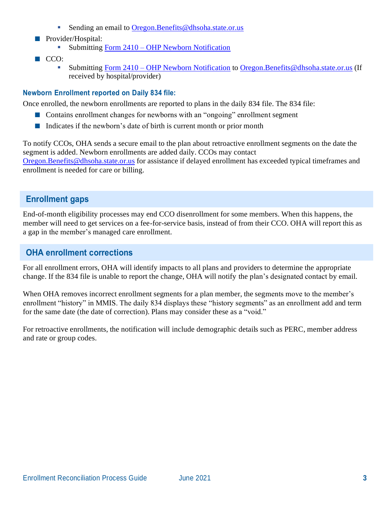- Sending an email to [Oregon.Benefits@dhsoha.state.or.us](mailto:Oregon.Benefits@dhsoha.state.or.us)
- Provider/Hospital:
	- Submitting Form 2410 [OHP Newborn Notification](https://sharedsystems.dhsoha.state.or.us/DHSForms/Served/he2410.pdf)
- CCO:
	- Submitting Form 2410 [OHP Newborn Notification](https://sharedsystems.dhsoha.state.or.us/DHSForms/Served/he2410.pdf) to [Oregon.Benefits@dhsoha.state.or.us](mailto:Oregon.Benefits@dhsoha.state.or.us) (If received by hospital/provider)

### **Newborn Enrollment reported on Daily 834 file:**

Once enrolled, the newborn enrollments are reported to plans in the daily 834 file. The 834 file:

- Contains enrollment changes for newborns with an "ongoing" enrollment segment
- Indicates if the newborn's date of birth is current month or prior month

To notify CCOs, OHA sends a secure email to the plan about retroactive enrollment segments on the date the segment is added. Newborn enrollments are added daily. CCOs may contact [Oregon.Benefits@dhsoha.state.or.us](mailto:Oregon.Benefits@dhsoha.state.or.us) for assistance if delayed enrollment has exceeded typical timeframes and enrollment is needed for care or billing.

# <span id="page-4-0"></span>**Enrollment gaps**

End-of-month eligibility processes may end CCO disenrollment for some members. When this happens, the member will need to get services on a fee-for-service basis, instead of from their CCO. OHA will report this as a gap in the member's managed care enrollment.

# <span id="page-4-1"></span>**OHA enrollment corrections**

For all enrollment errors, OHA will identify impacts to all plans and providers to determine the appropriate change. If the 834 file is unable to report the change, OHA will notify the plan's designated contact by email.

When OHA removes incorrect enrollment segments for a plan member, the segments move to the member's enrollment "history" in MMIS. The daily 834 displays these "history segments" as an enrollment add and term for the same date (the date of correction). Plans may consider these as a "void."

For retroactive enrollments, the notification will include demographic details such as PERC, member address and rate or group codes.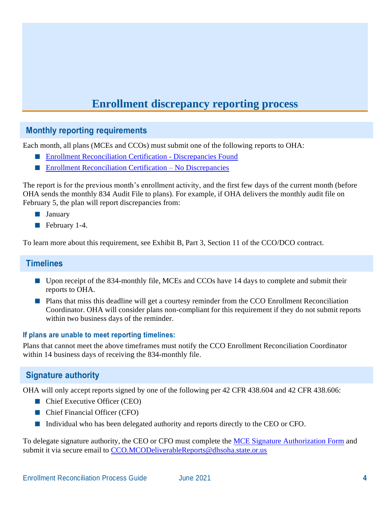# **Enrollment discrepancy reporting process**

# <span id="page-5-1"></span><span id="page-5-0"></span>**Monthly reporting requirements**

Each month, all plans (MCEs and CCOs) must submit one of the following reports to OHA:

- [Enrollment Reconciliation Certification -](https://www.oregon.gov/oha/HSD/OHP/CCO/Discrepancies-Found-Form.docx) Discrepancies Found
- [Enrollment Reconciliation Certification –](https://www.oregon.gov/oha/HSD/OHP/CCO/No-Discrepancies-Found-Form.docx) No Discrepancies

The report is for the previous month's enrollment activity, and the first few days of the current month (before OHA sends the monthly 834 Audit File to plans). For example, if OHA delivers the monthly audit file on February 5, the plan will report discrepancies from:

- January
- February 1-4.

<span id="page-5-2"></span>To learn more about this requirement, see Exhibit B, Part 3, Section 11 of the CCO/DCO contract.

# **Timelines**

- Upon receipt of the 834-monthly file, MCEs and CCOs have 14 days to complete and submit their reports to OHA.
- Plans that miss this deadline will get a courtesy reminder from the CCO Enrollment Reconciliation Coordinator. OHA will consider plans non-compliant for this requirement if they do not submit reports within two business days of the reminder.

#### **If plans are unable to meet reporting timelines:**

Plans that cannot meet the above timeframes must notify the CCO Enrollment Reconciliation Coordinator within 14 business days of receiving the 834-monthly file.

# <span id="page-5-3"></span>**Signature authority**

OHA will only accept reports signed by one of the following per 42 CFR 438.604 and 42 CFR 438.606:

- Chief Executive Officer (CEO)
- Chief Financial Officer (CFO)
- Individual who has been delegated authority and reports directly to the CEO or CFO.

To delegate signature authority, the CEO or CFO must complete the [MCE Signature Authorization Form](https://www.oregon.gov/oha/HSD/OHP/CCO/MCE-Signature-Authorization-Form.doc) and submit it via secure email to [CCO.MCODeliverableReports@dhsoha.state.or.us](mailto:CCO.MCODeliverableReports@dhsoha.state.or.us)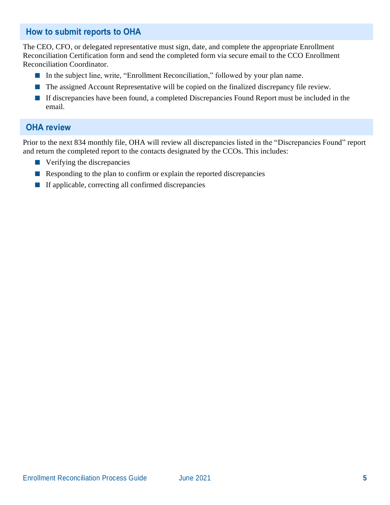# <span id="page-6-0"></span>**How to submit reports to OHA**

The CEO, CFO, or delegated representative must sign, date, and complete the appropriate Enrollment Reconciliation Certification form and send the completed form via secure email to the CCO Enrollment Reconciliation Coordinator.

- In the subject line, write, "Enrollment Reconciliation," followed by your plan name.
- The assigned Account Representative will be copied on the finalized discrepancy file review.
- If discrepancies have been found, a completed Discrepancies Found Report must be included in the email.

# <span id="page-6-1"></span>**OHA review**

Prior to the next 834 monthly file, OHA will review all discrepancies listed in the "Discrepancies Found" report and return the completed report to the contacts designated by the CCOs. This includes:

- Verifying the discrepancies
- Responding to the plan to confirm or explain the reported discrepancies
- If applicable, correcting all confirmed discrepancies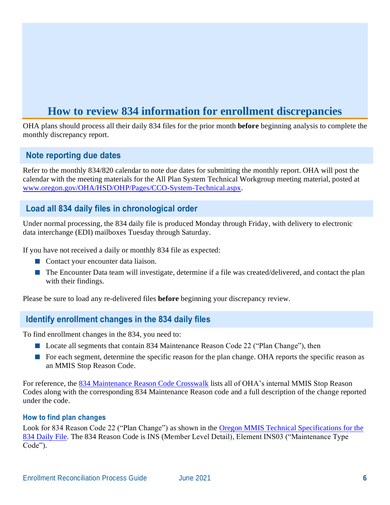# **How to review 834 information for enrollment discrepancies**

<span id="page-7-0"></span>OHA plans should process all their daily 834 files for the prior month **before** beginning analysis to complete the monthly discrepancy report.

# <span id="page-7-1"></span>**Note reporting due dates**

Refer to the monthly 834/820 calendar to note due dates for submitting the monthly report. OHA will post the calendar with the meeting materials for the All Plan System Technical Workgroup meeting material, posted at [www.oregon.gov/OHA/HSD/OHP/Pages/CCO-System-Technical.aspx.](http://www.oregon.gov/OHA/HSD/OHP/Pages/CCO-System-Technical.aspx)

# <span id="page-7-2"></span>**Load all 834 daily files in chronological order**

Under normal processing, the 834 daily file is produced Monday through Friday, with delivery to electronic data interchange (EDI) mailboxes Tuesday through Saturday.

If you have not received a daily or monthly 834 file as expected:

- Contact your encounter data liaison.
- The Encounter Data team will investigate, determine if a file was created/delivered, and contact the plan with their findings.

<span id="page-7-3"></span>Please be sure to load any re-delivered files **before** beginning your discrepancy review.

# **Identify enrollment changes in the 834 daily files**

To find enrollment changes in the 834, you need to:

- Locate all segments that contain 834 Maintenance Reason Code 22 ("Plan Change"), then
- For each segment, determine the specific reason for the plan change. OHA reports the specific reason as an MMIS Stop Reason Code.

For reference, the [834 Maintenance Reason Code Crosswalk](http://www.oregon.gov/OHA/HSD/OHP/Tools/834%20Supplement%20-%20Maintenance%20Reason%20Code%20Crosswalk.pdf) lists all of OHA's internal MMIS Stop Reason Codes along with the corresponding 834 Maintenance Reason code and a full description of the change reported under the code.

#### **How to find plan changes**

Look for 834 Reason Code 22 ("Plan Change") as shown in the [Oregon MMIS Technical Specifications for the](http://www.oregon.gov/OHA/HSD/OHP/Tools/5010%20834%20Daily%20Version%201.3,%2010-21-2015.pdf)  [834 Daily File.](http://www.oregon.gov/OHA/HSD/OHP/Tools/5010%20834%20Daily%20Version%201.3,%2010-21-2015.pdf) The 834 Reason Code is INS (Member Level Detail), Element INS03 ("Maintenance Type Code").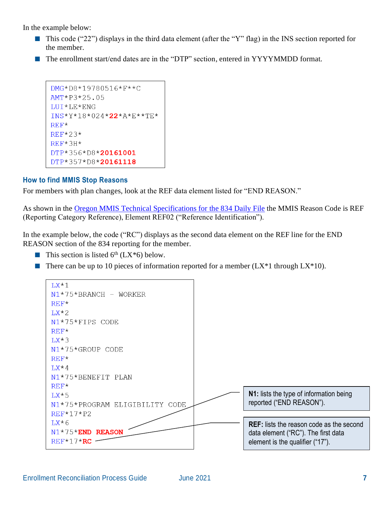In the example below:

- This code ("22") displays in the third data element (after the "Y" flag) in the INS section reported for the member.
- The enrollment start/end dates are in the "DTP" section, entered in YYYYMMDD format.

```
DMG*D8*19780516*F**C
AMT*P3*25.05
LUI*LE*ENG
INS*Y*18*024*22*A*E**TE*
REF*REF*23*
REF*3H*
DTP*356*D8*20161001
DTP*357*D8*20161118
```
#### **How to find MMIS Stop Reasons**

For members with plan changes, look at the REF data element listed for "END REASON."

As shown in the [Oregon MMIS Technical Specifications for](http://www.oregon.gov/OHA/HSD/OHP/Tools/5010%20834%20Daily%20Version%201.3,%2010-21-2015.pdf) the 834 Daily File the MMIS Reason Code is REF (Reporting Category Reference), Element REF02 ("Reference Identification").

In the example below, the code ("RC") displays as the second data element on the REF line for the END REASON section of the 834 reporting for the member.

- **This section is listed 6<sup>th</sup>** ( $LX*6$ ) below.
- **There can be up to 10 pieces of information reported for a member (LX\*1 through LX\*10).**

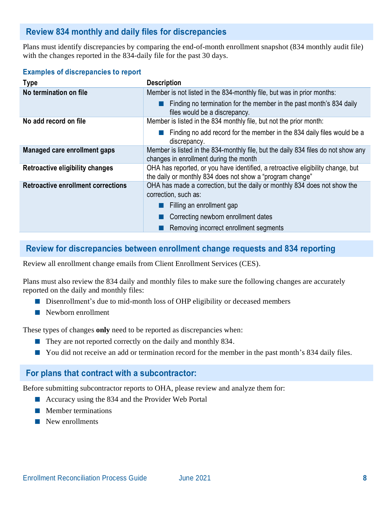# <span id="page-9-0"></span>**Review 834 monthly and daily files for discrepancies**

Plans must identify discrepancies by comparing the end-of-month enrollment snapshot (834 monthly audit file) with the changes reported in the 834-daily file for the past 30 days.

#### **Examples of discrepancies to report**

| <b>Type</b>                               | <b>Description</b>                                                                                                                           |
|-------------------------------------------|----------------------------------------------------------------------------------------------------------------------------------------------|
| No termination on file                    | Member is not listed in the 834-monthly file, but was in prior months:                                                                       |
|                                           | Finding no termination for the member in the past month's 834 daily<br>files would be a discrepancy.                                         |
| No add record on file                     | Member is listed in the 834 monthly file, but not the prior month:                                                                           |
|                                           | Finding no add record for the member in the 834 daily files would be a<br>discrepancy.                                                       |
| Managed care enrollment gaps              | Member is listed in the 834-monthly file, but the daily 834 files do not show any<br>changes in enrollment during the month                  |
| Retroactive eligibility changes           | OHA has reported, or you have identified, a retroactive eligibility change, but<br>the daily or monthly 834 does not show a "program change" |
| <b>Retroactive enrollment corrections</b> | OHA has made a correction, but the daily or monthly 834 does not show the<br>correction, such as:                                            |
|                                           | Filling an enrollment gap                                                                                                                    |
|                                           | Correcting newborn enrollment dates                                                                                                          |
|                                           | Removing incorrect enrollment segments                                                                                                       |

# <span id="page-9-1"></span>**Review for discrepancies between enrollment change requests and 834 reporting**

Review all enrollment change emails from Client Enrollment Services (CES).

Plans must also review the 834 daily and monthly files to make sure the following changes are accurately reported on the daily and monthly files:

- Disenrollment's due to mid-month loss of OHP eligibility or deceased members
- Newborn enrollment

These types of changes **only** need to be reported as discrepancies when:

- They are not reported correctly on the daily and monthly 834.
- You did not receive an add or termination record for the member in the past month's 834 daily files.

# <span id="page-9-2"></span>**For plans that contract with a subcontractor:**

Before submitting subcontractor reports to OHA, please review and analyze them for:

- Accuracy using the 834 and the Provider Web Portal
- Member terminations
- New enrollments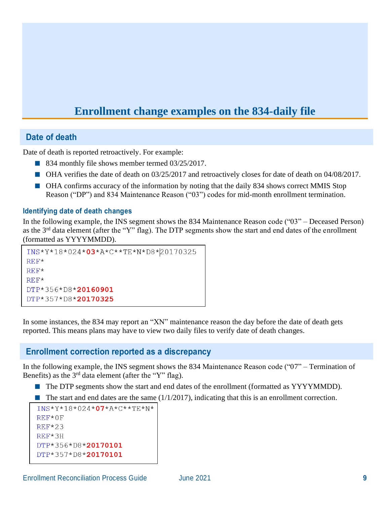# **Enrollment change examples on the 834-daily file**

# <span id="page-10-0"></span>**Date of death**

Date of death is reported retroactively. For example:

- 834 monthly file shows member termed 03/25/2017.
- OHA verifies the date of death on 03/25/2017 and retroactively closes for date of death on 04/08/2017.
- OHA confirms accuracy of the information by noting that the daily 834 shows correct MMIS Stop Reason ("DP") and 834 Maintenance Reason ("03") codes for mid-month enrollment termination.

#### **Identifying date of death changes**

In the following example, the INS segment shows the 834 Maintenance Reason code ("03" – Deceased Person) as the 3rd data element (after the "Y" flag). The DTP segments show the start and end dates of the enrollment (formatted as YYYYMMDD).

```
INS*Y*18*024*03*A*C**TE*N*D8*20170325
RFF*REF*
REF*
DTP*356*D8*20160901
DTP*357*D8*20170325
```
In some instances, the 834 may report an "XN" maintenance reason the day before the date of death gets reported. This means plans may have to view two daily files to verify date of death changes.

### **Enrollment correction reported as a discrepancy**

In the following example, the INS segment shows the 834 Maintenance Reason code ("07" – Termination of Benefits) as the  $3<sup>rd</sup>$  data element (after the "Y" flag).

- The DTP segments show the start and end dates of the enrollment (formatted as YYYYMMDD).
- $\blacksquare$  The start and end dates are the same (1/1/2017), indicating that this is an enrollment correction.

```
TNS*Y*18*024*07*A*C**TE*N*
REF*0F
REF*23
REF*3HDTP*356*D8*20170101
DTP*357*D8*20170101
```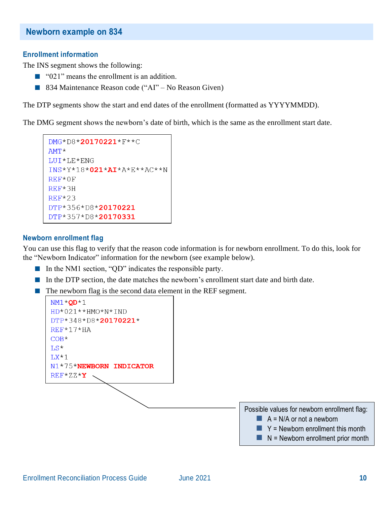#### **Enrollment information**

The INS segment shows the following:

- "021" means the enrollment is an addition.
- 834 Maintenance Reason code ("AI" No Reason Given)

The DTP segments show the start and end dates of the enrollment (formatted as YYYYMMDD).

The DMG segment shows the newborn's date of birth, which is the same as the enrollment start date.

```
DMG*D8*20170221*F**C
AMT*
LUI*LE*ENG
INS*Y*18*021*AI*A*E**AC**N
REF*0F
REF*3HREF*23
DTP*356*D8*20170221
DTP*357*D8*20170331
```
#### **Newborn enrollment flag**

You can use this flag to verify that the reason code information is for newborn enrollment. To do this, look for the "Newborn Indicator" information for the newborn (see example below).

- In the NM1 section, "QD" indicates the responsible party.
- In the DTP section, the date matches the newborn's enrollment start date and birth date.
- The newborn flag is the second data element in the REF segment.

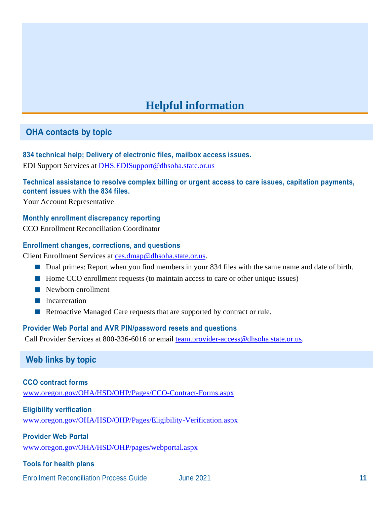# **Helpful information**

# <span id="page-12-1"></span><span id="page-12-0"></span>**OHA contacts by topic**

#### **834 technical help; Delivery of electronic files, mailbox access issues.**

EDI Support Services at [DHS.EDISupport@dhsoha.state.or.us](mailto:DHS.EDISupport@dhsoha.state.or.us)

#### **Technical assistance to resolve complex billing or urgent access to care issues, capitation payments, content issues with the 834 files.**

Your Account Representative

#### **Monthly enrollment discrepancy reporting**

CCO Enrollment Reconciliation Coordinator

#### **Enrollment changes, corrections, and questions**

Client Enrollment Services at [ces.dmap@dhsoha.state.or.us.](mailto:ces.dmap@dhsoha.state.or.us)

- Dual primes: Report when you find members in your 834 files with the same name and date of birth.
- Home CCO enrollment requests (to maintain access to care or other unique issues)
- Newborn enrollment
- Incarceration
- Retroactive Managed Care requests that are supported by contract or rule.

#### **Provider Web Portal and AVR PIN/password resets and questions**

<span id="page-12-2"></span>Call Provider Services at 800-336-6016 or email [team.provider-access@dhsoha.state.or.us.](mailto:team.provider-access@dhsoha.state.or.us)

# **Web links by topic**

#### **CCO contract forms**

[www.oregon.gov/OHA/HSD/OHP/Pages/CCO-Contract-Forms.aspx](http://www.oregon.gov/OHA/HSD/OHP/Pages/CCO-Contract-Forms.aspx)

#### **Eligibility verification**

[www.oregon.gov/OHA/HSD/OHP/Pages/Eligibility-Verification.aspx](http://www.oregon.gov/OHA/HSD/OHP/Pages/Eligibility-Verification.aspx)

#### **Provider Web Portal**

[www.oregon.gov/OHA/HSD/OHP/pages/webportal.aspx](http://www.oregon.gov/OHA/HSD/OHP/pages/webportal.aspx)

#### **Tools for health plans**

Enrollment Reconciliation Process Guide June 2021 **11**